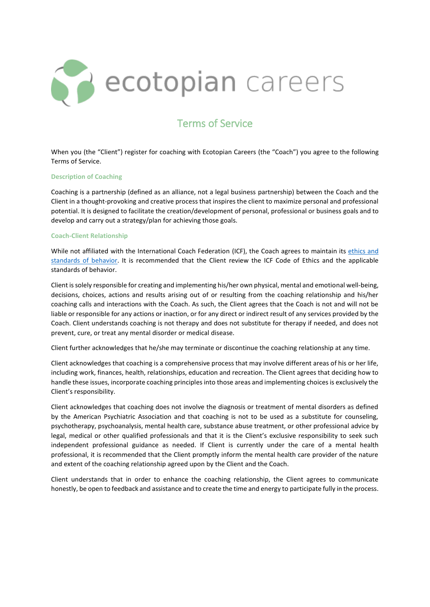

# Terms of Service

When you (the "Client") register for coaching with Ecotopian Careers (the "Coach") you agree to the following Terms of Service.

# **Description of Coaching**

Coaching is a partnership (defined as an alliance, not a legal business partnership) between the Coach and the Client in a thought-provoking and creative process that inspires the client to maximize personal and professional potential. It is designed to facilitate the creation/development of personal, professional or business goals and to develop and carry out a strategy/plan for achieving those goals.

# **Coach-Client Relationship**

While not affiliated with the International Coach Federation (ICF), the Coach agrees to maintain its ethics and [standards of behavior.](https://coachingfederation.org/ethics/code-of-ethics) It is recommended that the Client review the ICF Code of Ethics and the applicable standards of behavior.

Client is solely responsible for creating and implementing his/her own physical, mental and emotional well-being, decisions, choices, actions and results arising out of or resulting from the coaching relationship and his/her coaching calls and interactions with the Coach. As such, the Client agrees that the Coach is not and will not be liable or responsible for any actions or inaction, or for any direct or indirect result of any services provided by the Coach. Client understands coaching is not therapy and does not substitute for therapy if needed, and does not prevent, cure, or treat any mental disorder or medical disease.

Client further acknowledges that he/she may terminate or discontinue the coaching relationship at any time.

Client acknowledges that coaching is a comprehensive process that may involve different areas of his or her life, including work, finances, health, relationships, education and recreation. The Client agrees that deciding how to handle these issues, incorporate coaching principles into those areas and implementing choices is exclusively the Client's responsibility.

Client acknowledges that coaching does not involve the diagnosis or treatment of mental disorders as defined by the American Psychiatric Association and that coaching is not to be used as a substitute for counseling, psychotherapy, psychoanalysis, mental health care, substance abuse treatment, or other professional advice by legal, medical or other qualified professionals and that it is the Client's exclusive responsibility to seek such independent professional guidance as needed. If Client is currently under the care of a mental health professional, it is recommended that the Client promptly inform the mental health care provider of the nature and extent of the coaching relationship agreed upon by the Client and the Coach.

Client understands that in order to enhance the coaching relationship, the Client agrees to communicate honestly, be open to feedback and assistance and to create the time and energy to participate fully in the process.